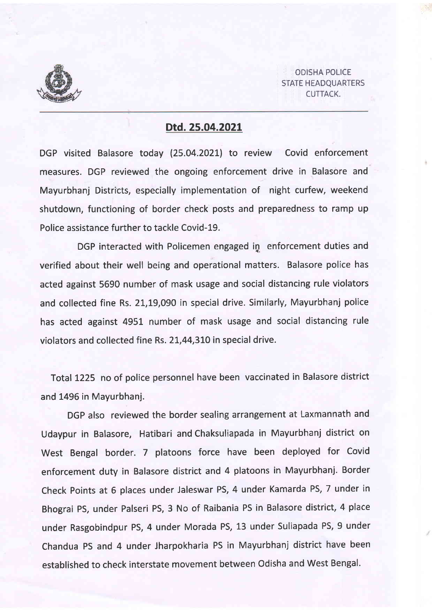

ODISHA POLICE STATE HEADQUARTERS CUTTACK.

## Dtd. 2s.o4.2021

DGP visited Balasore today (25.04.2021) to review Covid enforcement measures. DGP reviewed the ongoing enforcement drive in Balasore and Mayurbhanj Districts, especially implementation of night curfew, weekend shutdown, functioning of border check posts and preparedness to ramp up Police assistance further to tackle Covid-19.

DGP interacted with Policemen engaged in enforcement duties and verified about their well being and operational matters. Balasore police has acted against 5590 number of mask usage and social distancing rule violators and collected fine Rs. 21,19,090 in special drive. Similarly, Mayurbhanj police has acted against 495t number of mask usage and social distancing rule violators and collected fine Rs. 21,44,310 in special drive.

Total 1225 no of police personnel have been vaccinated in Balasore district and 1496 in Mayurbhanj.

DGP also reviewed the border sealing arrangement at Laxmannath and Udaypur in Balasore, Hatibari and Chaksuliapada in Mayurbhanj district on West Bengal border. 7 platoons force have been deployed for Covid enforcement duty in Balasore district and 4 platoons in Mayurbhanj. Border Check Points at 6 places under Jaleswar PS, 4 under Kamarda PS, 7 under in Bhograi PS, under Palseri PS, 3 No of Raibania PS in Balasore district, 4 place under Rasgobindpur PS, 4 under Morada PS, 13 under Suliapada PS, 9 under Chandua PS and 4 under Jharpokharia PS in Mayurbhanj district have been established to check interstate movement between Odisha and West Bengal.